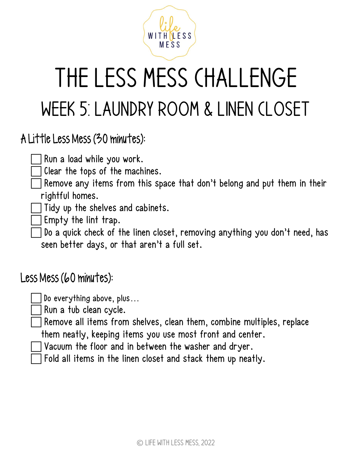

## The Less Mess Challenge Week 5: laundry room & linen closet

A Little Less Mess (30 minutes):

Run a load while you work.

Clear the tops of the machines.

 $\exists$  Remove any items from this space that don't belong and put them in their rightful homes.

Tidy up the shelves and cabinets.

Empty the lint trap.

 Do a quick check of the linen closet, removing anything you don't need, has seen better days, or that aren't a full set.

Less Mess (60 minutes):

 Do everything above, plus… Run a tub clean cycle.

Remove all items from shelves, clean them, combine multiples, replace

them neatly, keeping items you use most front and center.

Vacuum the floor and in between the washer and dryer.

Fold all items in the linen closet and stack them up neatly.